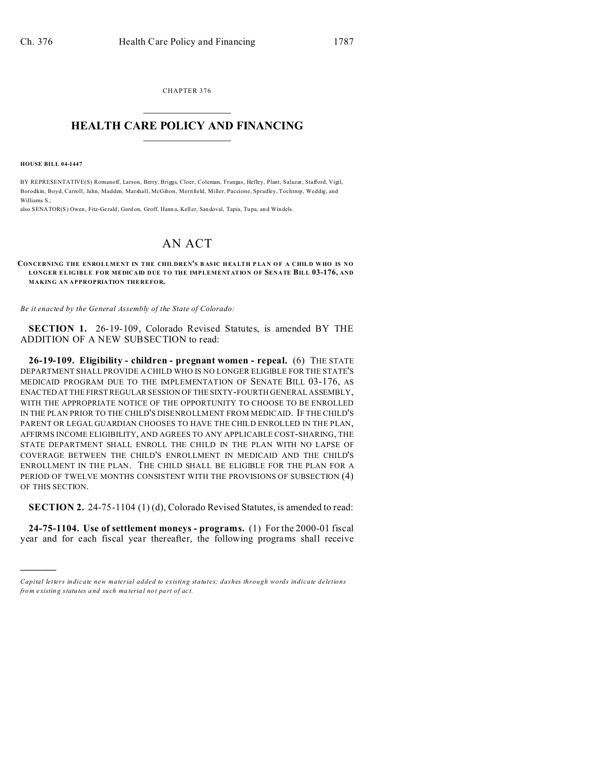CHAPTER 376  $\overline{\phantom{a}}$  , where  $\overline{\phantom{a}}$ 

## **HEALTH CARE POLICY AND FINANCING**  $\_$   $\_$   $\_$   $\_$   $\_$   $\_$   $\_$   $\_$

**HOUSE BILL 04-1447**

)))))

BY REPRESENTATIVE(S) Romanoff, Larson, Berry, Briggs, Cloer, Coleman, Frangas, Hefley, Plant, Salazar, Stafford, Vigil, Borodkin, Boyd, Carroll, Jahn, Madden, Marshall, McGihon, Merrifield, Miller, Paccione, Spradley, Tochtrop, Weddig, and Williams S.;

also SENATOR(S) Owen, Fitz-Gerald, Gord on, Groff, Hann a, Keller, San doval, Tapia, Tu pa, and Windels.

## AN ACT

## **CONCERNING THE ENROLLMENT IN THE CHILDREN'S B AS IC HEA LTH P LA N O F A CHIL D W HO IS NO LONGER ELIG IBLE FOR MEDICAID DUE TO THE IMPLEMENTATION OF SENATE BILL 03-176, AND MAKING AN APPROPRIATION THEREFOR.**

*Be it enacted by the General Assembly of the State of Colorado:*

**SECTION 1.** 26-19-109, Colorado Revised Statutes, is amended BY THE ADDITION OF A NEW SUBSECTION to read:

**26-19-109. Eligibility - children - pregnant women - repeal.** (6) THE STATE DEPARTMENT SHALL PROVIDE A CHILD WHO IS NO LONGER ELIGIBLE FOR THE STATE'S MEDICAID PROGRAM DUE TO THE IMPLEMENTATION OF SENATE BILL 03-176, AS ENACTED AT THE FIRST REGULAR SESSION OF THE SIXTY-FOURTH GENERAL ASSEMBLY, WITH THE APPROPRIATE NOTICE OF THE OPPORTUNITY TO CHOOSE TO BE ENROLLED IN THE PLAN PRIOR TO THE CHILD'S DISENROLLMENT FROM MEDICAID. IF THE CHILD'S PARENT OR LEGAL GUARDIAN CHOOSES TO HAVE THE CHILD ENROLLED IN THE PLAN, AFFIRMS INCOME ELIGIBILITY, AND AGREES TO ANY APPLICABLE COST-SHARING, THE STATE DEPARTMENT SHALL ENROLL THE CHILD IN THE PLAN WITH NO LAPSE OF COVERAGE BETWEEN THE CHILD'S ENROLLMENT IN MEDICAID AND THE CHILD'S ENROLLMENT IN THE PLAN. THE CHILD SHALL BE ELIGIBLE FOR THE PLAN FOR A PERIOD OF TWELVE MONTHS CONSISTENT WITH THE PROVISIONS OF SUBSECTION (4) OF THIS SECTION.

**SECTION 2.** 24-75-1104 (1)(d), Colorado Revised Statutes, is amended to read:

**24-75-1104. Use of settlement moneys - programs.** (1) For the 2000-01 fiscal year and for each fiscal year thereafter, the following programs shall receive

*Capital letters indicate new material added to existing statutes; dashes through words indicate deletions from e xistin g statu tes a nd such ma teria l no t pa rt of ac t.*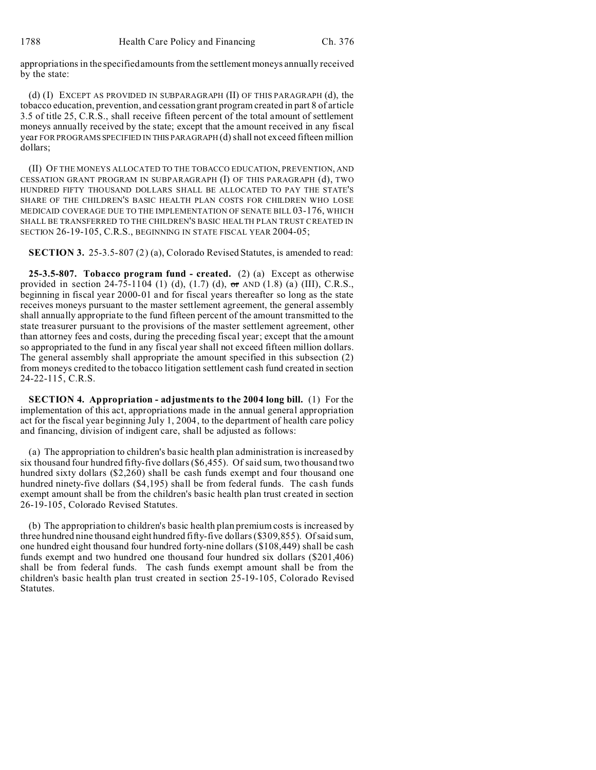appropriations in the specified amounts from the settlement moneys annually received by the state:

(d) (I) EXCEPT AS PROVIDED IN SUBPARAGRAPH (II) OF THIS PARAGRAPH (d), the tobacco education, prevention, and cessation grant program created in part 8 of article 3.5 of title 25, C.R.S., shall receive fifteen percent of the total amount of settlement moneys annually received by the state; except that the amount received in any fiscal year FOR PROGRAMS SPECIFIED IN THIS PARAGRAPH (d) shall not exceed fifteen million dollars;

(II) OF THE MONEYS ALLOCATED TO THE TOBACCO EDUCATION, PREVENTION, AND CESSATION GRANT PROGRAM IN SUBPARAGRAPH (I) OF THIS PARAGRAPH (d), TWO HUNDRED FIFTY THOUSAND DOLLARS SHALL BE ALLOCATED TO PAY THE STATE'S SHARE OF THE CHILDREN'S BASIC HEALTH PLAN COSTS FOR CHILDREN WHO LOSE MEDICAID COVERAGE DUE TO THE IMPLEMENTATION OF SENATE BILL 03-176, WHICH SHALL BE TRANSFERRED TO THE CHILDREN'S BASIC HEALTH PLAN TRUST CREATED IN SECTION 26-19-105, C.R.S., BEGINNING IN STATE FISCAL YEAR 2004-05;

**SECTION 3.** 25-3.5-807 (2) (a), Colorado Revised Statutes, is amended to read:

**25-3.5-807. Tobacco program fund - created.** (2) (a) Except as otherwise provided in section 24-75-1104 (1) (d),  $(1.7)$  (d),  $\sigma$ r AND  $(1.8)$  (a) (III), C.R.S., beginning in fiscal year 2000-01 and for fiscal years thereafter so long as the state receives moneys pursuant to the master settlement agreement, the general assembly shall annually appropriate to the fund fifteen percent of the amount transmitted to the state treasurer pursuant to the provisions of the master settlement agreement, other than attorney fees and costs, during the preceding fiscal year; except that the amount so appropriated to the fund in any fiscal year shall not exceed fifteen million dollars. The general assembly shall appropriate the amount specified in this subsection (2) from moneys credited to the tobacco litigation settlement cash fund created in section 24-22-115, C.R.S.

**SECTION 4. Appropriation - adjustments to the 2004 long bill.** (1) For the implementation of this act, appropriations made in the annual general appropriation act for the fiscal year beginning July 1, 2004, to the department of health care policy and financing, division of indigent care, shall be adjusted as follows:

(a) The appropriation to children's basic health plan administration is increased by six thousand four hundred fifty-five dollars (\$6,455). Of said sum, two thousand two hundred sixty dollars (\$2,260) shall be cash funds exempt and four thousand one hundred ninety-five dollars (\$4,195) shall be from federal funds. The cash funds exempt amount shall be from the children's basic health plan trust created in section 26-19-105, Colorado Revised Statutes.

(b) The appropriation to children's basic health plan premium costs is increased by three hundred nine thousand eight hundred fifty-five dollars (\$309,855). Of said sum, one hundred eight thousand four hundred forty-nine dollars (\$108,449) shall be cash funds exempt and two hundred one thousand four hundred six dollars (\$201,406) shall be from federal funds. The cash funds exempt amount shall be from the children's basic health plan trust created in section 25-19-105, Colorado Revised Statutes.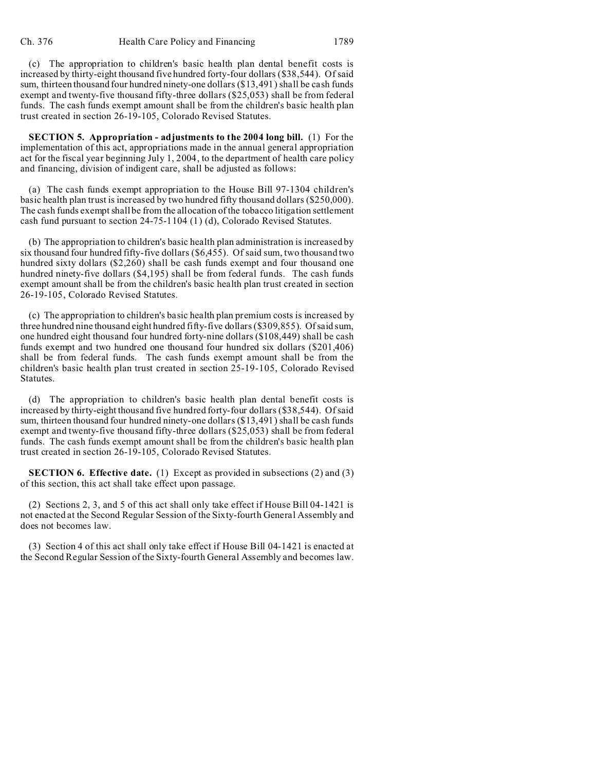(c) The appropriation to children's basic health plan dental benefit costs is increased by thirty-eight thousand five hundred forty-four dollars (\$38,544). Of said sum, thirteen thousand four hundred ninety-one dollars (\$13,491) shall be cash funds exempt and twenty-five thousand fifty-three dollars (\$25,053) shall be from federal funds. The cash funds exempt amount shall be from the children's basic health plan trust created in section 26-19-105, Colorado Revised Statutes.

**SECTION 5. Appropriation - adjustments to the 2004 long bill.** (1) For the implementation of this act, appropriations made in the annual general appropriation act for the fiscal year beginning July 1, 2004, to the department of health care policy and financing, division of indigent care, shall be adjusted as follows:

(a) The cash funds exempt appropriation to the House Bill 97-1304 children's basic health plan trust is increased by two hundred fifty thousand dollars (\$250,000). The cash funds exempt shall be from the allocation of the tobacco litigation settlement cash fund pursuant to section 24-75-1104 (1) (d), Colorado Revised Statutes.

(b) The appropriation to children's basic health plan administration is increased by six thousand four hundred fifty-five dollars (\$6,455). Of said sum, two thousand two hundred sixty dollars (\$2,260) shall be cash funds exempt and four thousand one hundred ninety-five dollars (\$4,195) shall be from federal funds. The cash funds exempt amount shall be from the children's basic health plan trust created in section 26-19-105, Colorado Revised Statutes.

(c) The appropriation to children's basic health plan premium costs is increased by three hundred nine thousand eight hundred fifty-five dollars (\$309,855). Of said sum, one hundred eight thousand four hundred forty-nine dollars (\$108,449) shall be cash funds exempt and two hundred one thousand four hundred six dollars (\$201,406) shall be from federal funds. The cash funds exempt amount shall be from the children's basic health plan trust created in section 25-19-105, Colorado Revised Statutes.

(d) The appropriation to children's basic health plan dental benefit costs is increased by thirty-eight thousand five hundred forty-four dollars (\$38,544). Of said sum, thirteen thousand four hundred ninety-one dollars (\$13,491) shall be cash funds exempt and twenty-five thousand fifty-three dollars (\$25,053) shall be from federal funds. The cash funds exempt amount shall be from the children's basic health plan trust created in section 26-19-105, Colorado Revised Statutes.

**SECTION 6. Effective date.** (1) Except as provided in subsections (2) and (3) of this section, this act shall take effect upon passage.

(2) Sections 2, 3, and 5 of this act shall only take effect if House Bill 04-1421 is not enacted at the Second Regular Session of the Sixty-fourth General Assembly and does not becomes law.

(3) Section 4 of this act shall only take effect if House Bill 04-1421 is enacted at the Second Regular Session of the Sixty-fourth General Assembly and becomes law.